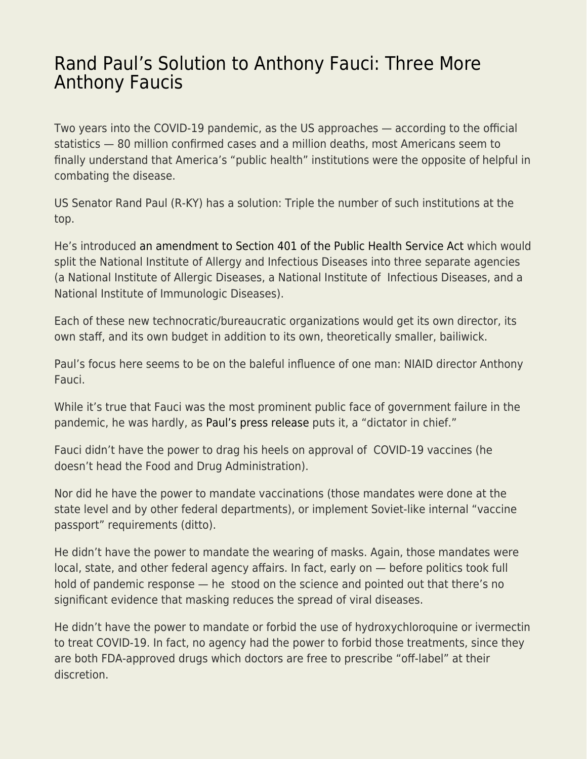## [Rand Paul's Solution to Anthony Fauci: Three More](https://everything-voluntary.com/rand-pauls-solution-to-anthony-fauci-three-more-anthony-faucis) [Anthony Faucis](https://everything-voluntary.com/rand-pauls-solution-to-anthony-fauci-three-more-anthony-faucis)

Two years into the COVID-19 pandemic, as the US approaches — according to the official statistics — 80 million confirmed cases and a million deaths, most Americans seem to finally understand that America's "public health" institutions were the opposite of helpful in combating the disease.

US Senator Rand Paul (R-KY) has a solution: Triple the number of such institutions at the top.

He's introduced [an amendment to Section 401 of the Public Health Service Act](https://www.paul.senate.gov/sites/default/files/page-attachments/Paul%20Amendment.pdf) which would split the National Institute of Allergy and Infectious Diseases into three separate agencies (a National Institute of Allergic Diseases, a National Institute of Infectious Diseases, and a National Institute of Immunologic Diseases).

Each of these new technocratic/bureaucratic organizations would get its own director, its own staff, and its own budget in addition to its own, theoretically smaller, bailiwick.

Paul's focus here seems to be on the baleful influence of one man: NIAID director Anthony Fauci.

While it's true that Fauci was the most prominent public face of government failure in the pandemic, he was hardly, as [Paul's press release](https://www.paul.senate.gov/news/dr-rand-paul-introduces-amendment-eliminate-dr-faucis-position-director-niaid) puts it, a "dictator in chief."

Fauci didn't have the power to drag his heels on approval of COVID-19 vaccines (he doesn't head the Food and Drug Administration).

Nor did he have the power to mandate vaccinations (those mandates were done at the state level and by other federal departments), or implement Soviet-like internal "vaccine passport" requirements (ditto).

He didn't have the power to mandate the wearing of masks. Again, those mandates were local, state, and other federal agency affairs. In fact, early on — before politics took full hold of pandemic response — he stood on the science and pointed out that there's no significant evidence that masking reduces the spread of viral diseases.

He didn't have the power to mandate or forbid the use of hydroxychloroquine or ivermectin to treat COVID-19. In fact, no agency had the power to forbid those treatments, since they are both FDA-approved drugs which doctors are free to prescribe "off-label" at their discretion.